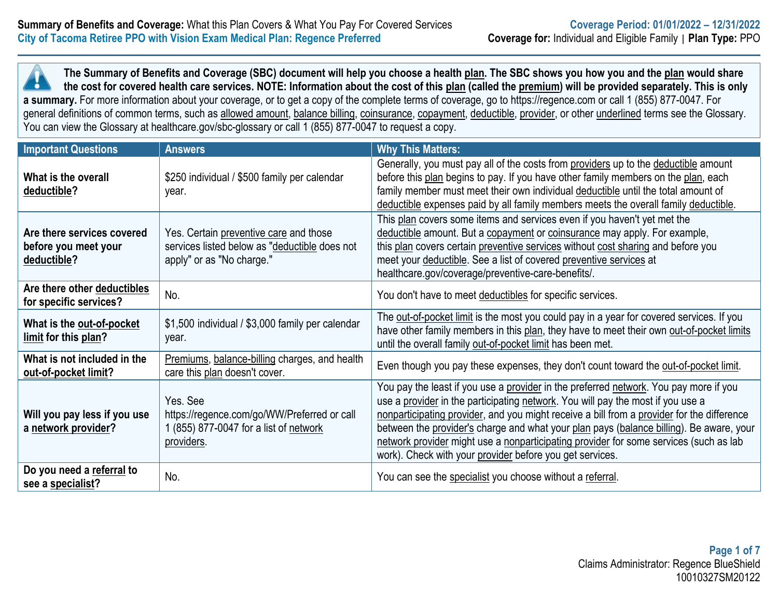**The Summary of Benefits and Coverage (SBC) document will help you choose a health plan. The SBC shows you how you and the plan would share the cost for covered health care services. NOTE: Information about the cost of this plan (called the premium) will be provided separately. This is only a summary.** For more information about your coverage, or to get a copy of the complete terms of coverage, go to https://regence.com or call 1 (855) 877-0047. For general definitions of common terms, such as allowed amount, balance billing, coinsurance, copayment, deductible, provider, or other underlined terms see the Glossary. You can view the Glossary at healthcare.gov/sbc-glossary or call 1 (855) 877-0047 to request a copy.

| <b>Important Questions</b>                                        | <b>Answers</b>                                                                                                       | <b>Why This Matters:</b>                                                                                                                                                                                                                                                                                                                                                                                                                                                                                               |
|-------------------------------------------------------------------|----------------------------------------------------------------------------------------------------------------------|------------------------------------------------------------------------------------------------------------------------------------------------------------------------------------------------------------------------------------------------------------------------------------------------------------------------------------------------------------------------------------------------------------------------------------------------------------------------------------------------------------------------|
| What is the overall<br>deductible?                                | \$250 individual / \$500 family per calendar<br>year.                                                                | Generally, you must pay all of the costs from providers up to the deductible amount<br>before this plan begins to pay. If you have other family members on the plan, each<br>family member must meet their own individual deductible until the total amount of<br>deductible expenses paid by all family members meets the overall family deductible.                                                                                                                                                                  |
| Are there services covered<br>before you meet your<br>deductible? | Yes. Certain preventive care and those<br>services listed below as "deductible does not<br>apply" or as "No charge." | This plan covers some items and services even if you haven't yet met the<br>deductible amount. But a copayment or coinsurance may apply. For example,<br>this plan covers certain preventive services without cost sharing and before you<br>meet your deductible. See a list of covered preventive services at<br>healthcare.gov/coverage/preventive-care-benefits/.                                                                                                                                                  |
| Are there other deductibles<br>for specific services?             | No.                                                                                                                  | You don't have to meet deductibles for specific services.                                                                                                                                                                                                                                                                                                                                                                                                                                                              |
| What is the out-of-pocket<br>limit for this plan?                 | \$1,500 individual / \$3,000 family per calendar<br>year.                                                            | The out-of-pocket limit is the most you could pay in a year for covered services. If you<br>have other family members in this plan, they have to meet their own out-of-pocket limits<br>until the overall family out-of-pocket limit has been met.                                                                                                                                                                                                                                                                     |
| What is not included in the<br>out-of-pocket limit?               | Premiums, balance-billing charges, and health<br>care this plan doesn't cover.                                       | Even though you pay these expenses, they don't count toward the out-of-pocket limit.                                                                                                                                                                                                                                                                                                                                                                                                                                   |
| Will you pay less if you use<br>a network provider?               | Yes, See<br>https://regence.com/go/WW/Preferred or call<br>1 (855) 877-0047 for a list of network<br>providers.      | You pay the least if you use a provider in the preferred network. You pay more if you<br>use a provider in the participating network. You will pay the most if you use a<br>nonparticipating provider, and you might receive a bill from a provider for the difference<br>between the provider's charge and what your plan pays (balance billing). Be aware, your<br>network provider might use a nonparticipating provider for some services (such as lab<br>work). Check with your provider before you get services. |
| Do you need a referral to<br>see a specialist?                    | No.                                                                                                                  | You can see the specialist you choose without a referral.                                                                                                                                                                                                                                                                                                                                                                                                                                                              |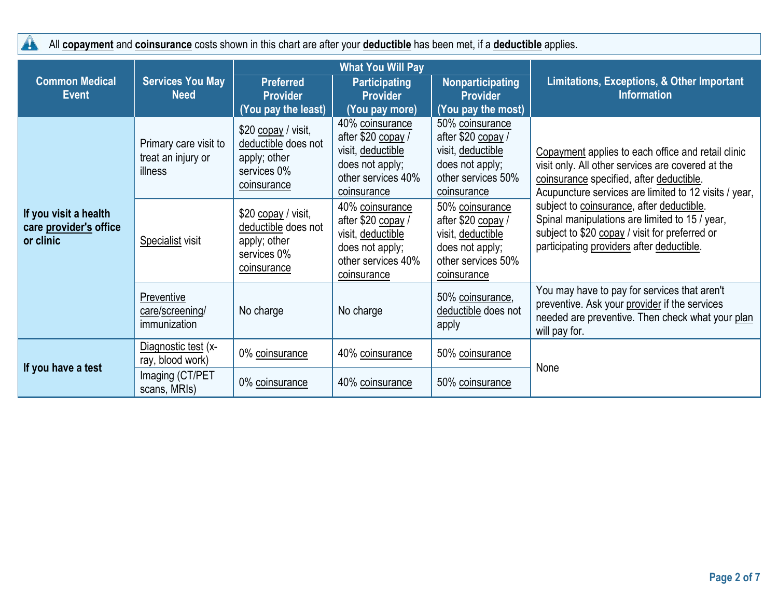All **copayment** and **coinsurance** costs shown in this chart are after your **deductible** has been met, if a **deductible** applies.

|                                                              |                                                        | <b>What You Will Pay</b>                                                                 |                                                                                                                    |                                                                                                                    |                                                                                                                                                                                                                                                                                                                                                                                                            |
|--------------------------------------------------------------|--------------------------------------------------------|------------------------------------------------------------------------------------------|--------------------------------------------------------------------------------------------------------------------|--------------------------------------------------------------------------------------------------------------------|------------------------------------------------------------------------------------------------------------------------------------------------------------------------------------------------------------------------------------------------------------------------------------------------------------------------------------------------------------------------------------------------------------|
| <b>Common Medical</b><br><b>Event</b>                        | <b>Services You May</b><br><b>Need</b>                 | <b>Preferred</b><br><b>Provider</b><br>(You pay the least)                               | <b>Participating</b><br><b>Provider</b><br>(You pay more)                                                          | Nonparticipating<br><b>Provider</b><br>(You pay the most)                                                          | <b>Limitations, Exceptions, &amp; Other Important</b><br><b>Information</b>                                                                                                                                                                                                                                                                                                                                |
| If you visit a health<br>care provider's office<br>or clinic | Primary care visit to<br>treat an injury or<br>illness | \$20 copay / visit,<br>deductible does not<br>apply; other<br>services 0%<br>coinsurance | 40% coinsurance<br>after \$20 copay /<br>visit, deductible<br>does not apply;<br>other services 40%<br>coinsurance | 50% coinsurance<br>after \$20 copay /<br>visit, deductible<br>does not apply;<br>other services 50%<br>coinsurance | Copayment applies to each office and retail clinic<br>visit only. All other services are covered at the<br>coinsurance specified, after deductible.<br>Acupuncture services are limited to 12 visits / year,<br>subject to coinsurance, after deductible.<br>Spinal manipulations are limited to 15 / year,<br>subject to \$20 copay / visit for preferred or<br>participating providers after deductible. |
|                                                              | Specialist visit                                       | \$20 copay / visit,<br>deductible does not<br>apply; other<br>services 0%<br>coinsurance | 40% coinsurance<br>after \$20 copay /<br>visit, deductible<br>does not apply;<br>other services 40%<br>coinsurance | 50% coinsurance<br>after \$20 copay /<br>visit, deductible<br>does not apply;<br>other services 50%<br>coinsurance |                                                                                                                                                                                                                                                                                                                                                                                                            |
|                                                              | Preventive<br>care/screening/<br>immunization          | No charge                                                                                | No charge                                                                                                          | 50% coinsurance,<br>deductible does not<br>apply                                                                   | You may have to pay for services that aren't<br>preventive. Ask your provider if the services<br>needed are preventive. Then check what your plan<br>will pay for.                                                                                                                                                                                                                                         |
| If you have a test                                           | Diagnostic test (x-<br>ray, blood work)                | 0% coinsurance                                                                           | 40% coinsurance                                                                                                    | 50% coinsurance                                                                                                    |                                                                                                                                                                                                                                                                                                                                                                                                            |
|                                                              | Imaging (CT/PET<br>scans, MRIs)                        | 0% coinsurance                                                                           | 40% coinsurance                                                                                                    | 50% coinsurance                                                                                                    | None                                                                                                                                                                                                                                                                                                                                                                                                       |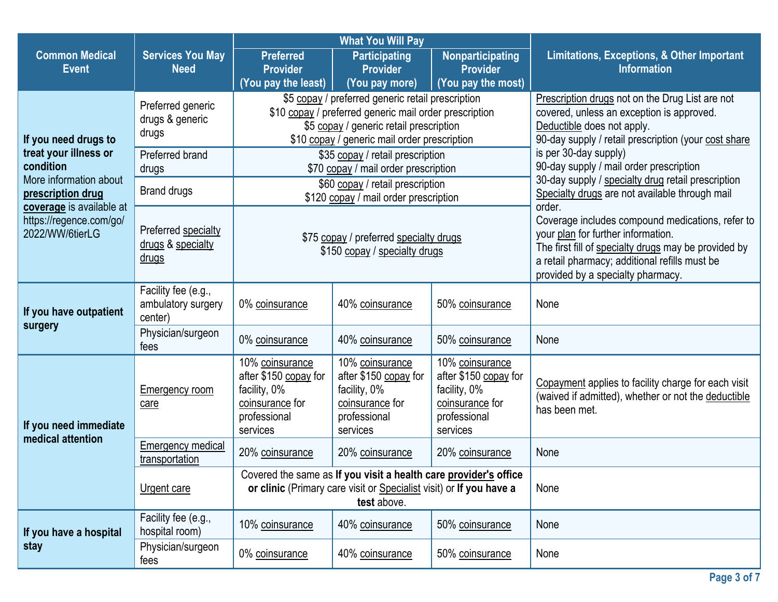|                                                                        |                                                          | <b>What You Will Pay</b>                                                                                                                                                                               |                                                                                                         |                                                                                                         |                                                                                                                                                                                                                                                |  |
|------------------------------------------------------------------------|----------------------------------------------------------|--------------------------------------------------------------------------------------------------------------------------------------------------------------------------------------------------------|---------------------------------------------------------------------------------------------------------|---------------------------------------------------------------------------------------------------------|------------------------------------------------------------------------------------------------------------------------------------------------------------------------------------------------------------------------------------------------|--|
| <b>Common Medical</b><br><b>Event</b>                                  | <b>Services You May</b><br><b>Need</b>                   | <b>Preferred</b><br><b>Provider</b>                                                                                                                                                                    | <b>Participating</b><br><b>Provider</b>                                                                 | Nonparticipating<br><b>Provider</b>                                                                     | Limitations, Exceptions, & Other Important<br><b>Information</b>                                                                                                                                                                               |  |
|                                                                        |                                                          | (You pay the least)                                                                                                                                                                                    | (You pay more)                                                                                          | (You pay the most)                                                                                      |                                                                                                                                                                                                                                                |  |
| If you need drugs to                                                   | Preferred generic<br>drugs & generic<br>drugs            | \$5 copay / preferred generic retail prescription<br>\$10 copay / preferred generic mail order prescription<br>\$5 copay / generic retail prescription<br>\$10 copay / generic mail order prescription |                                                                                                         |                                                                                                         | Prescription drugs not on the Drug List are not<br>covered, unless an exception is approved.<br>Deductible does not apply.<br>90-day supply / retail prescription (your cost share                                                             |  |
| treat your illness or<br>condition                                     | Preferred brand<br>drugs                                 |                                                                                                                                                                                                        | \$35 copay / retail prescription<br>\$70 copay / mail order prescription                                |                                                                                                         | is per 30-day supply)<br>90-day supply / mail order prescription                                                                                                                                                                               |  |
| More information about<br>prescription drug                            | <b>Brand drugs</b>                                       |                                                                                                                                                                                                        | \$60 copay / retail prescription<br>\$120 copay / mail order prescription                               |                                                                                                         | 30-day supply / specialty drug retail prescription<br>Specialty drugs are not available through mail                                                                                                                                           |  |
| coverage is available at<br>https://regence.com/go/<br>2022/WW/6tierLG | Preferred specialty<br>drugs & specialty<br><u>drugs</u> | \$75 copay / preferred specialty drugs<br>\$150 copay / specialty drugs                                                                                                                                |                                                                                                         |                                                                                                         | order.<br>Coverage includes compound medications, refer to<br>your plan for further information.<br>The first fill of specialty drugs may be provided by<br>a retail pharmacy; additional refills must be<br>provided by a specialty pharmacy. |  |
| If you have outpatient                                                 | Facility fee (e.g.,<br>ambulatory surgery<br>center)     | 0% coinsurance                                                                                                                                                                                         | 40% coinsurance                                                                                         | 50% coinsurance                                                                                         | None                                                                                                                                                                                                                                           |  |
| surgery                                                                | Physician/surgeon<br>fees                                | 0% coinsurance                                                                                                                                                                                         | 40% coinsurance                                                                                         | 50% coinsurance                                                                                         | None                                                                                                                                                                                                                                           |  |
| If you need immediate                                                  | <b>Emergency room</b><br>care                            | 10% coinsurance<br>after \$150 copay for<br>facility, 0%<br>coinsurance for<br>professional<br>services                                                                                                | 10% coinsurance<br>after \$150 copay for<br>facility, 0%<br>coinsurance for<br>professional<br>services | 10% coinsurance<br>after \$150 copay for<br>facility, 0%<br>coinsurance for<br>professional<br>services | Copayment applies to facility charge for each visit<br>(waived if admitted), whether or not the deductible<br>has been met.                                                                                                                    |  |
| medical attention                                                      | Emergency medical<br>transportation                      | 20% coinsurance                                                                                                                                                                                        | 20% coinsurance                                                                                         | 20% coinsurance                                                                                         | None                                                                                                                                                                                                                                           |  |
|                                                                        | Urgent care                                              | Covered the same as If you visit a health care provider's office<br>or clinic (Primary care visit or Specialist visit) or If you have a<br>test above.                                                 |                                                                                                         |                                                                                                         | None                                                                                                                                                                                                                                           |  |
| If you have a hospital                                                 | Facility fee (e.g.,<br>hospital room)                    | 10% coinsurance                                                                                                                                                                                        | 40% coinsurance                                                                                         | 50% coinsurance                                                                                         | None                                                                                                                                                                                                                                           |  |
| stay                                                                   | Physician/surgeon<br>fees                                | 0% coinsurance                                                                                                                                                                                         | 40% coinsurance                                                                                         | 50% coinsurance                                                                                         | None                                                                                                                                                                                                                                           |  |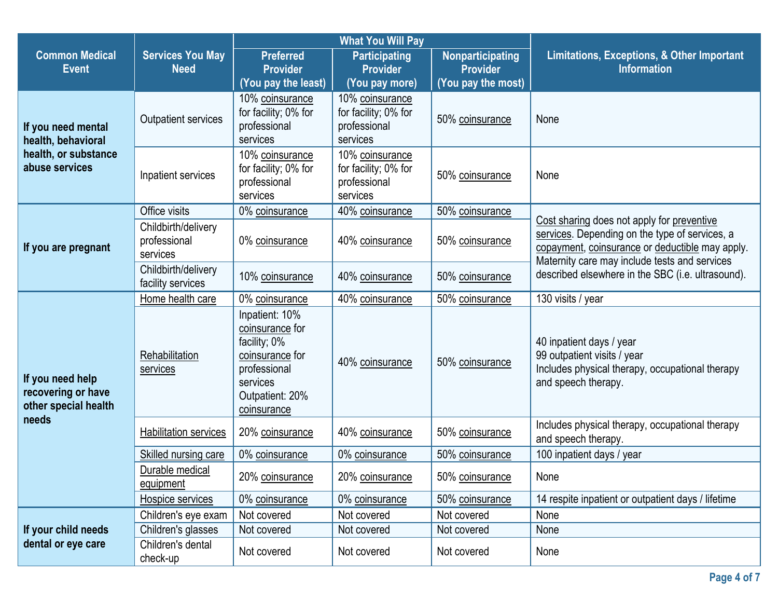|                                                                |                                                 | <b>What You Will Pay</b>                                                                                                           |                                                                     |                                                                  |                                                                                                                                                                                                                                                       |  |
|----------------------------------------------------------------|-------------------------------------------------|------------------------------------------------------------------------------------------------------------------------------------|---------------------------------------------------------------------|------------------------------------------------------------------|-------------------------------------------------------------------------------------------------------------------------------------------------------------------------------------------------------------------------------------------------------|--|
| <b>Common Medical</b><br><b>Event</b>                          | <b>Services You May</b><br><b>Need</b>          | <b>Preferred</b><br><b>Provider</b><br>(You pay the least)                                                                         | <b>Participating</b><br><b>Provider</b><br>(You pay more)           | <b>Nonparticipating</b><br><b>Provider</b><br>(You pay the most) | Limitations, Exceptions, & Other Important<br><b>Information</b>                                                                                                                                                                                      |  |
| If you need mental<br>health, behavioral                       | <b>Outpatient services</b>                      | 10% coinsurance<br>for facility; 0% for<br>professional<br>services                                                                | 10% coinsurance<br>for facility; 0% for<br>professional<br>services | 50% coinsurance                                                  | None                                                                                                                                                                                                                                                  |  |
| health, or substance<br>abuse services                         | Inpatient services                              | 10% coinsurance<br>for facility; 0% for<br>professional<br>services                                                                | 10% coinsurance<br>for facility; 0% for<br>professional<br>services | 50% coinsurance                                                  | None                                                                                                                                                                                                                                                  |  |
|                                                                | Office visits                                   | 0% coinsurance                                                                                                                     | 40% coinsurance                                                     | 50% coinsurance                                                  |                                                                                                                                                                                                                                                       |  |
| If you are pregnant                                            | Childbirth/delivery<br>professional<br>services | 0% coinsurance                                                                                                                     | 40% coinsurance                                                     | 50% coinsurance                                                  | Cost sharing does not apply for preventive<br>services. Depending on the type of services, a<br>copayment, coinsurance or deductible may apply.<br>Maternity care may include tests and services<br>described elsewhere in the SBC (i.e. ultrasound). |  |
|                                                                | Childbirth/delivery<br>facility services        | 10% coinsurance                                                                                                                    | 40% coinsurance                                                     | 50% coinsurance                                                  |                                                                                                                                                                                                                                                       |  |
|                                                                | Home health care                                | 0% coinsurance                                                                                                                     | 40% coinsurance                                                     | 50% coinsurance                                                  | 130 visits / year                                                                                                                                                                                                                                     |  |
| If you need help<br>recovering or have<br>other special health | Rehabilitation<br>services                      | Inpatient: 10%<br>coinsurance for<br>facility; 0%<br>coinsurance for<br>professional<br>services<br>Outpatient: 20%<br>coinsurance | 40% coinsurance                                                     | 50% coinsurance                                                  | 40 inpatient days / year<br>99 outpatient visits / year<br>Includes physical therapy, occupational therapy<br>and speech therapy.                                                                                                                     |  |
| needs                                                          | <b>Habilitation services</b>                    | 20% coinsurance                                                                                                                    | 40% coinsurance                                                     | 50% coinsurance                                                  | Includes physical therapy, occupational therapy<br>and speech therapy.                                                                                                                                                                                |  |
|                                                                | Skilled nursing care                            | 0% coinsurance                                                                                                                     | 0% coinsurance                                                      | 50% coinsurance                                                  | 100 inpatient days / year                                                                                                                                                                                                                             |  |
|                                                                | Durable medical<br>equipment                    | 20% coinsurance                                                                                                                    | 20% coinsurance                                                     | 50% coinsurance                                                  | None                                                                                                                                                                                                                                                  |  |
|                                                                | Hospice services                                | 0% coinsurance                                                                                                                     | 0% coinsurance                                                      | 50% coinsurance                                                  | 14 respite inpatient or outpatient days / lifetime                                                                                                                                                                                                    |  |
|                                                                | Children's eye exam                             | Not covered                                                                                                                        | Not covered                                                         | Not covered                                                      | None                                                                                                                                                                                                                                                  |  |
| If your child needs                                            | Children's glasses                              | Not covered                                                                                                                        | Not covered                                                         | Not covered                                                      | None                                                                                                                                                                                                                                                  |  |
| dental or eye care                                             | Children's dental<br>check-up                   | Not covered                                                                                                                        | Not covered                                                         | Not covered                                                      | None                                                                                                                                                                                                                                                  |  |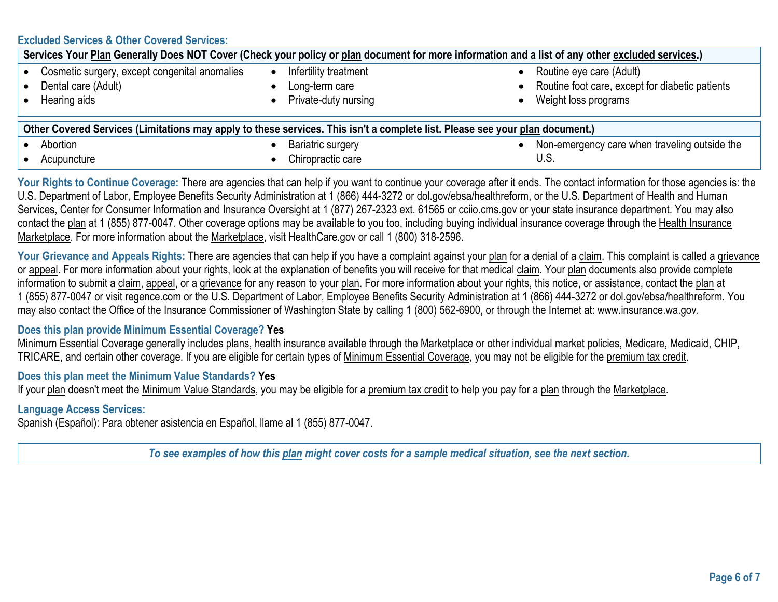## **Excluded Services & Other Covered Services:**

| Services Your Plan Generally Does NOT Cover (Check your policy or plan document for more information and a list of any other excluded services.) |                          |                                                 |  |  |
|--------------------------------------------------------------------------------------------------------------------------------------------------|--------------------------|-------------------------------------------------|--|--|
| Cosmetic surgery, except congenital anomalies                                                                                                    | Infertility treatment    | Routine eye care (Adult)                        |  |  |
| Dental care (Adult)                                                                                                                              | Long-term care           | Routine foot care, except for diabetic patients |  |  |
| Hearing aids                                                                                                                                     | Private-duty nursing     | Weight loss programs                            |  |  |
|                                                                                                                                                  |                          |                                                 |  |  |
| Other Covered Services (Limitations may apply to these services. This isn't a complete list. Please see your plan document.)                     |                          |                                                 |  |  |
| Abortion                                                                                                                                         | <b>Bariatric surgery</b> | Non-emergency care when traveling outside the   |  |  |
| Acupuncture                                                                                                                                      | Chiropractic care        | U.S.                                            |  |  |

Your Rights to Continue Coverage: There are agencies that can help if you want to continue your coverage after it ends. The contact information for those agencies is: the U.S. Department of Labor, Employee Benefits Security Administration at 1 (866) 444-3272 or dol.gov/ebsa/healthreform, or the U.S. Department of Health and Human Services, Center for Consumer Information and Insurance Oversight at 1 (877) 267-2323 ext. 61565 or cciio.cms.gov or your state insurance department. You may also contact the plan at 1 (855) 877-0047. Other coverage options may be available to you too, including buying individual insurance coverage through the Health Insurance Marketplace. For more information about the Marketplace, visit HealthCare.gov or call 1 (800) 318-2596.

Your Grievance and Appeals Rights: There are agencies that can help if you have a complaint against your plan for a denial of a claim. This complaint is called a grievance or appeal. For more information about your rights, look at the explanation of benefits you will receive for that medical claim. Your plan documents also provide complete information to submit a claim, appeal, or a grievance for any reason to your plan. For more information about your rights, this notice, or assistance, contact the plan at 1 (855) 877-0047 or visit regence.com or the U.S. Department of Labor, Employee Benefits Security Administration at 1 (866) 444-3272 or dol.gov/ebsa/healthreform. You may also contact the Office of the Insurance Commissioner of Washington State by calling 1 (800) 562-6900, or through the Internet at: www.insurance.wa.gov.

### **Does this plan provide Minimum Essential Coverage? Yes**

Minimum Essential Coverage generally includes plans, health insurance available through the Marketplace or other individual market policies, Medicare, Medicaid, CHIP, TRICARE, and certain other coverage. If you are eligible for certain types of Minimum Essential Coverage, you may not be eligible for the premium tax credit.

### **Does this plan meet the Minimum Value Standards? Yes**

If your plan doesn't meet the Minimum Value Standards, you may be eligible for a premium tax credit to help you pay for a plan through the Marketplace.

## **Language Access Services:**

Spanish (Español): Para obtener asistencia en Español, llame al 1 (855) 877-0047.

*To see examples of how this plan might cover costs for a sample medical situation, see the next section.*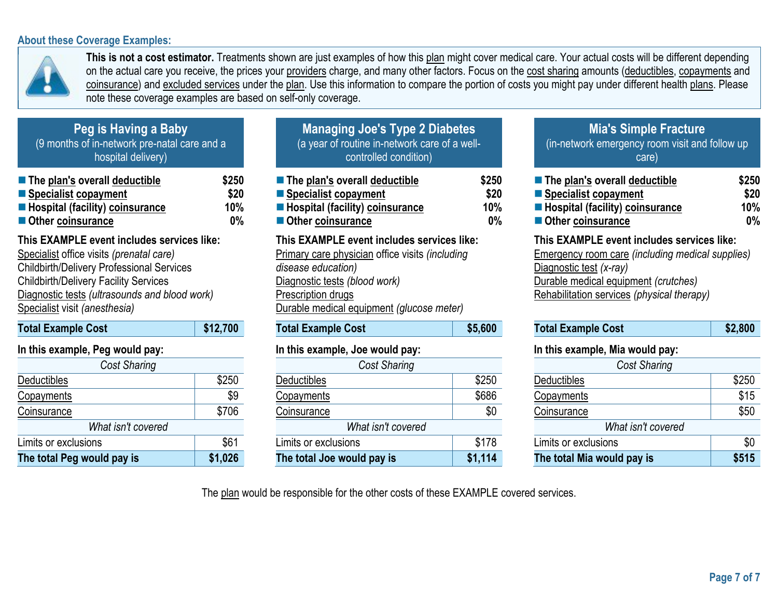## **About these Coverage Examples:**



**This is not a cost estimator.** Treatments shown are just examples of how this plan might cover medical care. Your actual costs will be different depending on the actual care you receive, the prices your providers charge, and many other factors. Focus on the cost sharing amounts (deductibles, copayments and coinsurance) and excluded services under the plan. Use this information to compare the portion of costs you might pay under different health plans. Please note these coverage examples are based on self-only coverage.

| Peg is Having a Baby                         |
|----------------------------------------------|
| (9 months of in-network pre-natal care and a |
| hospital delivery)                           |

| $\blacksquare$ The plan's overall deductible | \$250 |
|----------------------------------------------|-------|
| ■ Specialist copayment                       | \$20  |
| ■ Hospital (facility) coinsurance            | 10%   |
| Other coinsurance                            | $0\%$ |

# **This EXAMPLE event includes services like:**

Specialist office visits *(prenatal care)* Childbirth/Delivery Professional Services Childbirth/Delivery Facility Services Diagnostic tests *(ultrasounds and blood work)* Specialist visit *(anesthesia)*

| <b>Total Example Cost</b> |  |  | \$12,700 |
|---------------------------|--|--|----------|
| . .                       |  |  |          |

# **In this example, Peg would pay:**

| <b>Cost Sharing</b>        |         |  |  |
|----------------------------|---------|--|--|
| <b>Deductibles</b>         | \$250   |  |  |
| Copayments                 | \$9     |  |  |
| Coinsurance                | \$706   |  |  |
| What isn't covered         |         |  |  |
| Limits or exclusions       | \$61    |  |  |
| The total Peg would pay is | \$1,026 |  |  |

| The plan's overall deductible            | \$250 |
|------------------------------------------|-------|
| ■ Specialist copayment                   | \$20  |
| <b>E</b> Hospital (facility) coinsurance | 10%   |
| Other coinsurance                        | 0%    |

## **This EXAMPLE event includes services like:**

Primary care physician office visits *(including disease education)* Diagnostic tests *(blood work)* Prescription drugs Durable medical equipment *(glucose meter)*

| <b>Total Example Cost</b> | \$5,600 |
|---------------------------|---------|
|                           |         |

## **In this example, Joe would pay:**

| <b>Cost Sharing</b>        |         |  |  |  |
|----------------------------|---------|--|--|--|
| Deductibles                | \$250   |  |  |  |
| <b>Copayments</b>          | \$686   |  |  |  |
| Coinsurance                | \$0     |  |  |  |
| What isn't covered         |         |  |  |  |
| Limits or exclusions       | \$178   |  |  |  |
| The total Joe would pay is | \$1,114 |  |  |  |

# **Mia's Simple Fracture**

(in-network emergency room visit and follow up care)

| ■ The plan's overall deductible          | \$250 |
|------------------------------------------|-------|
| Specialist copayment                     | \$20  |
| <b>E</b> Hospital (facility) coinsurance | 10%   |
| ■ Other coinsurance                      | $0\%$ |

## **This EXAMPLE event includes services like:**

Emergency room care *(including medical supplies)* Diagnostic test *(x-ray)* Durable medical equipment *(crutches)* Rehabilitation services *(physical therapy)*

| <b>Total Example Cost</b> | \$2,800 |
|---------------------------|---------|
|                           |         |

#### **In this example, Mia would pay:**

| <b>Cost Sharing</b>        |       |  |  |  |
|----------------------------|-------|--|--|--|
| Deductibles                | \$250 |  |  |  |
| <b>Copayments</b>          | \$15  |  |  |  |
| Coinsurance                | \$50  |  |  |  |
| What isn't covered         |       |  |  |  |
| Limits or exclusions       | \$0   |  |  |  |
| The total Mia would pay is | \$515 |  |  |  |

The plan would be responsible for the other costs of these EXAMPLE covered services.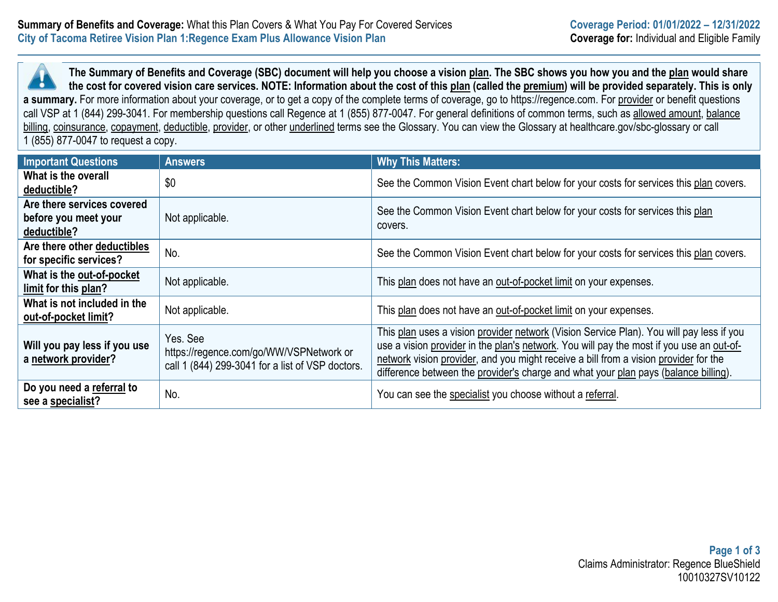**The Summary of Benefits and Coverage (SBC) document will help you choose a vision plan. The SBC shows you how you and the plan would share**  ъ. **the cost for covered vision care services. NOTE: Information about the cost of this plan (called the premium) will be provided separately. This is only a summary.** For more information about your coverage, or to get a copy of the complete terms of coverage, go to https://regence.com. For provider or benefit questions call VSP at 1 (844) 299-3041. For membership questions call Regence at 1 (855) 877-0047. For general definitions of common terms, such as allowed amount, balance billing, coinsurance, copayment, deductible, provider, or other underlined terms see the Glossary. You can view the Glossary at healthcare.gov/sbc-glossary or call 1 (855) 877-0047 to request a copy.

| <b>Important Questions</b>                                        | <b>Answers</b>                                                                                          | <b>Why This Matters:</b>                                                                                                                                                                                                                                                                                                                                            |
|-------------------------------------------------------------------|---------------------------------------------------------------------------------------------------------|---------------------------------------------------------------------------------------------------------------------------------------------------------------------------------------------------------------------------------------------------------------------------------------------------------------------------------------------------------------------|
| What is the overall<br>deductible?                                | \$0                                                                                                     | See the Common Vision Event chart below for your costs for services this plan covers.                                                                                                                                                                                                                                                                               |
| Are there services covered<br>before you meet your<br>deductible? | Not applicable.                                                                                         | See the Common Vision Event chart below for your costs for services this plan<br>covers.                                                                                                                                                                                                                                                                            |
| Are there other deductibles<br>for specific services?             | No.                                                                                                     | See the Common Vision Event chart below for your costs for services this plan covers.                                                                                                                                                                                                                                                                               |
| What is the out-of-pocket<br>limit for this plan?                 | Not applicable.                                                                                         | This plan does not have an out-of-pocket limit on your expenses.                                                                                                                                                                                                                                                                                                    |
| What is not included in the<br>out-of-pocket limit?               | Not applicable.                                                                                         | This plan does not have an out-of-pocket limit on your expenses.                                                                                                                                                                                                                                                                                                    |
| Will you pay less if you use<br>a network provider?               | Yes. See<br>https://regence.com/go/WW/VSPNetwork or<br>call 1 (844) 299-3041 for a list of VSP doctors. | This plan uses a vision provider network (Vision Service Plan). You will pay less if you<br>use a vision provider in the plan's network. You will pay the most if you use an out-of-<br>network vision provider, and you might receive a bill from a vision provider for the<br>difference between the provider's charge and what your plan pays (balance billing). |
| Do you need a referral to<br>see a specialist?                    | No.                                                                                                     | You can see the specialist you choose without a referral.                                                                                                                                                                                                                                                                                                           |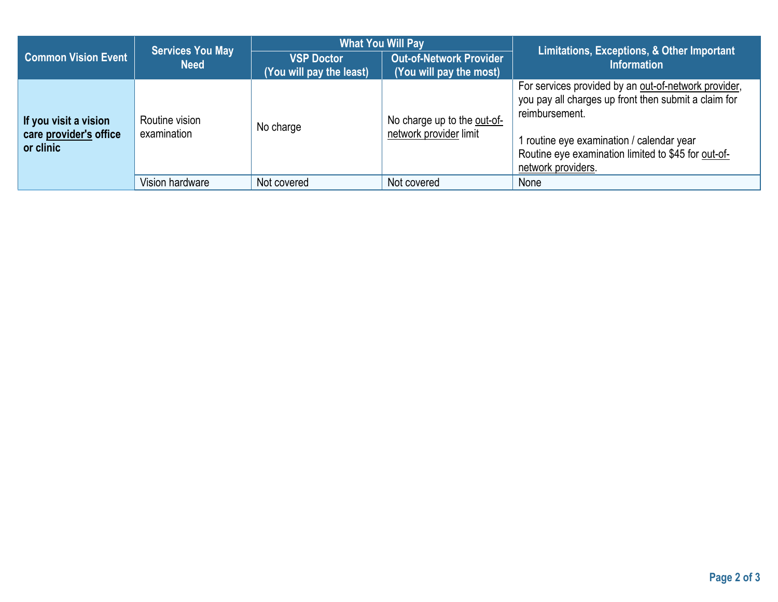|                                                              | <b>Services You May</b><br><b>Need</b> | <b>What You Will Pay</b>                      |                                                           | Limitations, Exceptions, & Other Important                                                                                                                                                                                                               |  |
|--------------------------------------------------------------|----------------------------------------|-----------------------------------------------|-----------------------------------------------------------|----------------------------------------------------------------------------------------------------------------------------------------------------------------------------------------------------------------------------------------------------------|--|
| <b>Common Vision Event</b>                                   |                                        | <b>VSP Doctor</b><br>(You will pay the least) | <b>Out-of-Network Provider</b><br>(You will pay the most) | <b>Information</b>                                                                                                                                                                                                                                       |  |
| If you visit a vision<br>care provider's office<br>or clinic | Routine vision<br>examination          | No charge                                     | No charge up to the out-of-<br>network provider limit     | For services provided by an out-of-network provider,<br>you pay all charges up front then submit a claim for<br>reimbursement.<br>1 routine eye examination / calendar year<br>Routine eye examination limited to \$45 for out-of-<br>network providers. |  |
|                                                              | Vision hardware                        | Not covered                                   | Not covered                                               | None                                                                                                                                                                                                                                                     |  |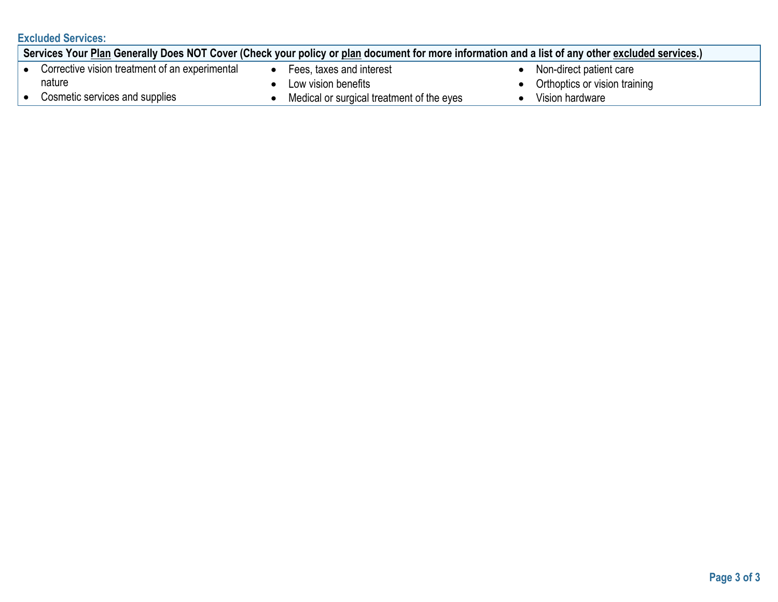# **Excluded Services:**

| Services Your Plan Generally Does NOT Cover (Check your policy or plan document for more information and a list of any other excluded services.) |                                                |  |                                           |  |                                 |
|--------------------------------------------------------------------------------------------------------------------------------------------------|------------------------------------------------|--|-------------------------------------------|--|---------------------------------|
|                                                                                                                                                  | Corrective vision treatment of an experimental |  | Fees, taxes and interest                  |  | Non-direct patient care         |
|                                                                                                                                                  | nature                                         |  | Low vision benefits                       |  | • Orthoptics or vision training |
|                                                                                                                                                  | Cosmetic services and supplies                 |  | Medical or surgical treatment of the eyes |  | Vision hardware                 |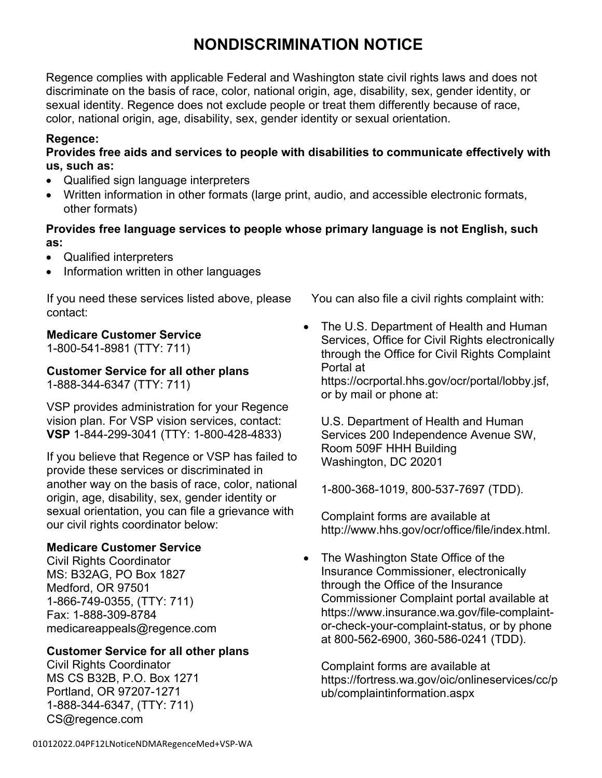# **NONDISCRIMINATION NOTICE**

Regence complies with applicable Federal and Washington state civil rights laws and does not discriminate on the basis of race, color, national origin, age, disability, sex, gender identity, or sexual identity. Regence does not exclude people or treat them differently because of race, color, national origin, age, disability, sex, gender identity or sexual orientation.

## **Regence:**

**Provides free aids and services to people with disabilities to communicate effectively with us, such as:**

- Qualified sign language interpreters
- Written information in other formats (large print, audio, and accessible electronic formats, other formats)

# **Provides free language services to people whose primary language is not English, such as:**

- Qualified interpreters
- Information written in other languages

If you need these services listed above, please contact:

# **Medicare Customer Service**

1-800-541-8981 (TTY: 711)

# **Customer Service for all other plans**

1-888-344-6347 (TTY: 711)

VSP provides administration for your Regence vision plan. For VSP vision services, contact: **VSP** 1-844-299-3041 (TTY: 1-800-428-4833)

If you believe that Regence or VSP has failed to provide these services or discriminated in another way on the basis of race, color, national origin, age, disability, sex, gender identity or sexual orientation, you can file a grievance with our civil rights coordinator below:

# **Medicare Customer Service**

Civil Rights Coordinator MS: B32AG, PO Box 1827 Medford, OR 97501 1-866-749-0355, (TTY: 711) Fax: 1-888-309-8784 medicareappeals@regence.com

# **Customer Service for all other plans**

Civil Rights Coordinator MS CS B32B, P.O. Box 1271 Portland, OR 97207-1271 1-888-344-6347, (TTY: 711) CS@regence.com

You can also file a civil rights complaint with:

• The U.S. Department of Health and Human Services, Office for Civil Rights electronically through the Office for Civil Rights Complaint Portal at

https://ocrportal.hhs.gov/ocr/portal/lobby.jsf, or by mail or phone at:

U.S. Department of Health and Human Services 200 Independence Avenue SW, Room 509F HHH Building Washington, DC 20201

1-800-368-1019, 800-537-7697 (TDD).

Complaint forms are available at http://www.hhs.gov/ocr/office/file/index.html.

• The Washington State Office of the Insurance Commissioner, electronically through the Office of the Insurance Commissioner Complaint portal available at https://www.insurance.wa.gov/file-complaintor-check-your-complaint-status, or by phone at 800-562-6900, 360-586-0241 (TDD).

Complaint forms are available at https://fortress.wa.gov/oic/onlineservices/cc/p ub/complaintinformation.aspx